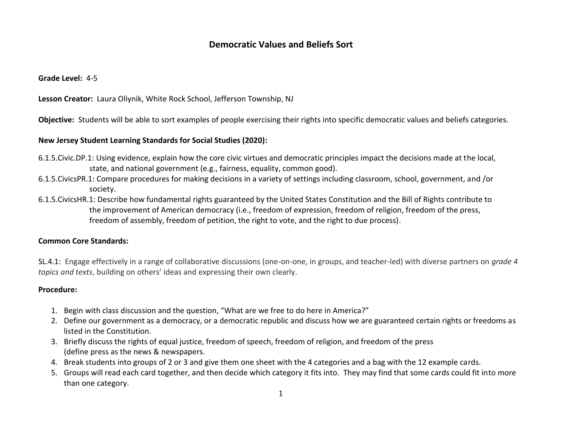# **Democratic Values and Beliefs Sort**

**Grade Level:** 4-5

**Lesson Creator:** Laura Oliynik, White Rock School, Jefferson Township, NJ

**Objective:** Students will be able to sort examples of people exercising their rights into specific democratic values and beliefs categories.

## **New Jersey Student Learning Standards for Social Studies (2020):**

- 6.1.5.Civic.DP.1: Using evidence, explain how the core civic virtues and democratic principles impact the decisions made at the local, state, and national government (e.g., fairness, equality, common good).
- 6.1.5.CivicsPR.1: Compare procedures for making decisions in a variety of settings including classroom, school, government, and /or society.
- 6.1.5.CivicsHR.1: Describe how fundamental rights guaranteed by the United States Constitution and the Bill of Rights contribute to the improvement of American democracy (i.e., freedom of expression, freedom of religion, freedom of the press, freedom of assembly, freedom of petition, the right to vote, and the right to due process).

# **Common Core Standards:**

SL.4.1:Engage effectively in a range of collaborative discussions (one-on-one, in groups, and teacher-led) with diverse partners on *grade 4 topics and texts*, building on others' ideas and expressing their own clearly.

#### **Procedure:**

- 1. Begin with class discussion and the question, "What are we free to do here in America?"
- 2. Define our government as a democracy, or a democratic republic and discuss how we are guaranteed certain rights or freedoms as listed in the Constitution.
- 3. Briefly discuss the rights of equal justice, freedom of speech, freedom of religion, and freedom of the press (define press as the news & newspapers.
- 4. Break students into groups of 2 or 3 and give them one sheet with the 4 categories and a bag with the 12 example cards.
- 5. Groups will read each card together, and then decide which category it fits into. They may find that some cards could fit into more than one category.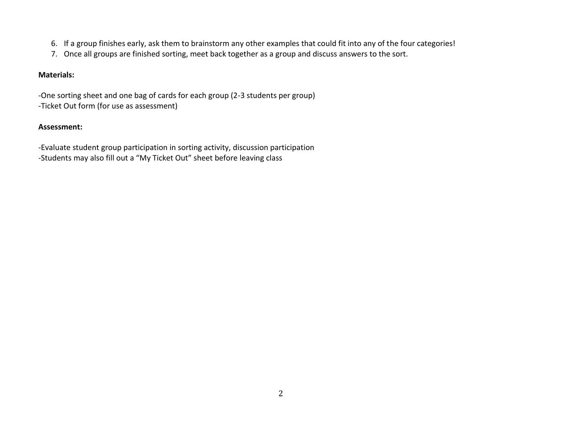- 6. If a group finishes early, ask them to brainstorm any other examples that could fit into any of the four categories!
- 7. Once all groups are finished sorting, meet back together as a group and discuss answers to the sort.

# **Materials:**

-One sorting sheet and one bag of cards for each group (2-3 students per group) -Ticket Out form (for use as assessment)

## **Assessment:**

-Evaluate student group participation in sorting activity, discussion participation -Students may also fill out a "My Ticket Out" sheet before leaving class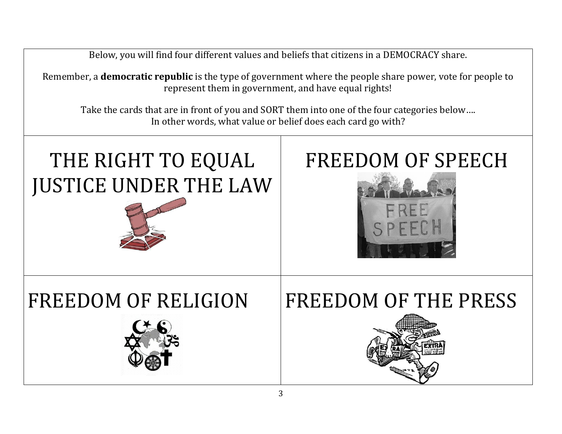Below, you will find four different values and beliefs that citizens in a DEMOCRACY share.

Remember, a **democratic republic** is the type of government where the people share power, vote for people to represent them in government, and have equal rights!

Take the cards that are in front of you and SORT them into one of the four categories below…. In other words, what value or belief does each card go with?

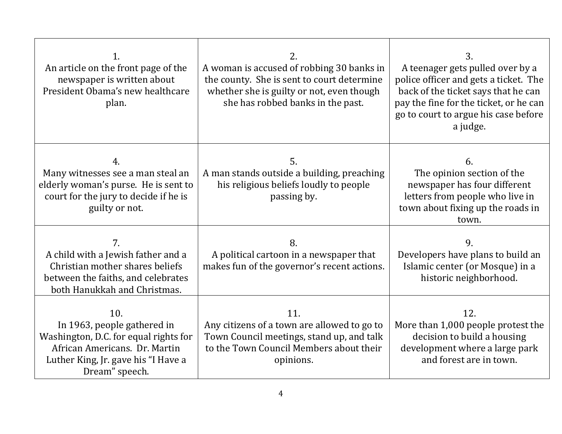| 1.<br>An article on the front page of the<br>newspaper is written about<br>President Obama's new healthcare<br>plan.                                                  | 2.<br>A woman is accused of robbing 30 banks in<br>the county. She is sent to court determine<br>whether she is guilty or not, even though<br>she has robbed banks in the past. | 3.<br>A teenager gets pulled over by a<br>police officer and gets a ticket. The<br>back of the ticket says that he can<br>pay the fine for the ticket, or he can<br>go to court to argue his case before<br>a judge. |
|-----------------------------------------------------------------------------------------------------------------------------------------------------------------------|---------------------------------------------------------------------------------------------------------------------------------------------------------------------------------|----------------------------------------------------------------------------------------------------------------------------------------------------------------------------------------------------------------------|
| 4.<br>Many witnesses see a man steal an<br>elderly woman's purse. He is sent to<br>court for the jury to decide if he is<br>guilty or not.                            | 5.<br>A man stands outside a building, preaching<br>his religious beliefs loudly to people<br>passing by.                                                                       | 6.<br>The opinion section of the<br>newspaper has four different<br>letters from people who live in<br>town about fixing up the roads in<br>town.                                                                    |
| 7.<br>A child with a Jewish father and a<br>Christian mother shares beliefs<br>between the faiths, and celebrates<br>both Hanukkah and Christmas.                     | 8.<br>A political cartoon in a newspaper that<br>makes fun of the governor's recent actions.                                                                                    | 9.<br>Developers have plans to build an<br>Islamic center (or Mosque) in a<br>historic neighborhood.                                                                                                                 |
| 10.<br>In 1963, people gathered in<br>Washington, D.C. for equal rights for<br>African Americans. Dr. Martin<br>Luther King, Jr. gave his "I Have a<br>Dream" speech. | 11.<br>Any citizens of a town are allowed to go to<br>Town Council meetings, stand up, and talk<br>to the Town Council Members about their<br>opinions.                         | 12.<br>More than 1,000 people protest the<br>decision to build a housing<br>development where a large park<br>and forest are in town.                                                                                |